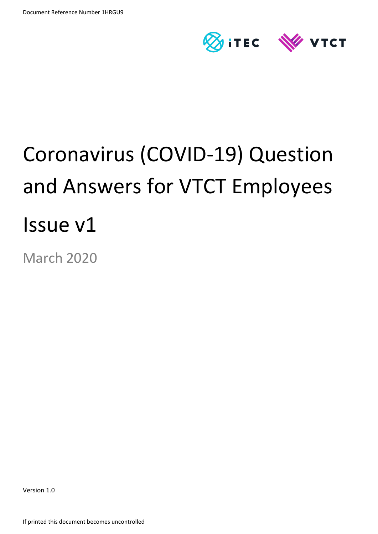

# Coronavirus (COVID-19) Question and Answers for VTCT Employees Issue v1

March 2020

Version 1.0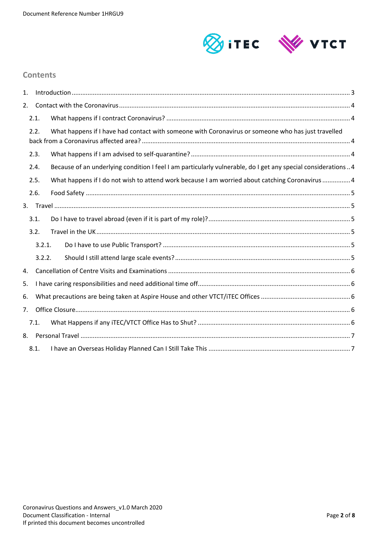

#### **Contents**

| 1.   |      |        |                                                                                                              |  |  |
|------|------|--------|--------------------------------------------------------------------------------------------------------------|--|--|
| 2.   |      |        |                                                                                                              |  |  |
|      | 2.1. |        |                                                                                                              |  |  |
| 2.2. |      |        | What happens if I have had contact with someone with Coronavirus or someone who has just travelled           |  |  |
| 2.3. |      |        |                                                                                                              |  |  |
| 2.4. |      |        | Because of an underlying condition I feel I am particularly vulnerable, do I get any special considerations4 |  |  |
|      | 2.5. |        | What happens if I do not wish to attend work because I am worried about catching Coronavirus  4              |  |  |
|      | 2.6. |        |                                                                                                              |  |  |
|      |      |        |                                                                                                              |  |  |
|      | 3.1. |        |                                                                                                              |  |  |
|      | 3.2. |        |                                                                                                              |  |  |
|      |      | 3.2.1. |                                                                                                              |  |  |
|      |      | 3.2.2. |                                                                                                              |  |  |
| 4.   |      |        |                                                                                                              |  |  |
| 5.   |      |        |                                                                                                              |  |  |
| 6.   |      |        |                                                                                                              |  |  |
| 7.   |      |        |                                                                                                              |  |  |
|      | 7.1. |        |                                                                                                              |  |  |
|      | 8.   |        |                                                                                                              |  |  |
|      | 8.1. |        |                                                                                                              |  |  |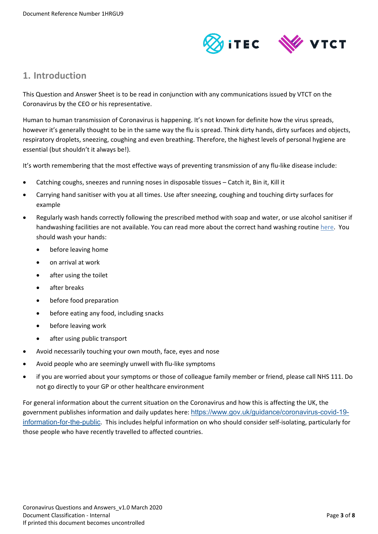

## <span id="page-2-0"></span>**1. Introduction**

This Question and Answer Sheet is to be read in conjunction with any communications issued by VTCT on the Coronavirus by the CEO or his representative.

Human to human transmission of Coronavirus is happening. It's not known for definite how the virus spreads, however it's generally thought to be in the same way the flu is spread. Think dirty hands, dirty surfaces and objects, respiratory droplets, sneezing, coughing and even breathing. Therefore, the highest levels of personal hygiene are essential (but shouldn't it always be!).

It's worth remembering that the most effective ways of preventing transmission of any flu-like disease include:

- Catching coughs, sneezes and running noses in disposable tissues Catch it, Bin it, Kill it
- Carrying hand sanitiser with you at all times. Use after sneezing, coughing and touching dirty surfaces for example
- Regularly wash hands correctly following the prescribed method with soap and water, or use alcohol sanitiser if handwashing facilities are not available. You can read more about the correct hand washing routine [here.](https://www.who.int/gpsc/clean_hands_protection/en/) You should wash your hands:
	- before leaving home
	- on arrival at work
	- after using the toilet
	- after breaks
	- before food preparation
	- before eating any food, including snacks
	- before leaving work
	- after using public transport
- Avoid necessarily touching your own mouth, face, eyes and nose
- Avoid people who are seemingly unwell with flu-like symptoms
- if you are worried about your symptoms or those of colleague family member or friend, please call NHS 111. Do not go directly to your GP or other healthcare environment

For general information about the current situation on the Coronavirus and how this is affecting the UK, the government publishes information and daily updates here: [https://www.gov.uk/guidance/coronavirus-covid-19](https://www.gov.uk/guidance/coronavirus-covid-19-information-for-the-public) [information-for-the-public](https://www.gov.uk/guidance/coronavirus-covid-19-information-for-the-public). This includes helpful information on who should consider self-isolating, particularly for those people who have recently travelled to affected countries.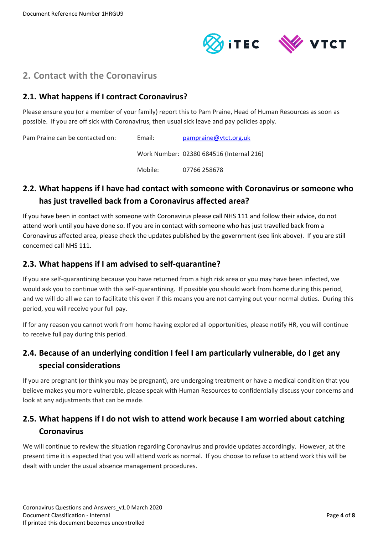

<span id="page-3-0"></span>

## <span id="page-3-1"></span>**2.1. What happens if I contract Coronavirus?**

Please ensure you (or a member of your family) report this to Pam Praine, Head of Human Resources as soon as possible. If you are off sick with Coronavirus, then usual sick leave and pay policies apply.

Pam Praine can be contacted on: Email: [pampraine@vtct.org.uk](mailto:pampraine@vtct.org.uk) Work Number: 02380 684516 (Internal 216) Mobile: 07766 258678

# <span id="page-3-2"></span>**2.2. What happens if I have had contact with someone with Coronavirus or someone who has just travelled back from a Coronavirus affected area?**

If you have been in contact with someone with Coronavirus please call NHS 111 and follow their advice, do not attend work until you have done so. If you are in contact with someone who has just travelled back from a Coronavirus affected area, please check the updates published by the government (see link above). If you are still concerned call NHS 111.

## <span id="page-3-3"></span>**2.3. What happens if I am advised to self-quarantine?**

If you are self-quarantining because you have returned from a high risk area or you may have been infected, we would ask you to continue with this self-quarantining. If possible you should work from home during this period, and we will do all we can to facilitate this even if this means you are not carrying out your normal duties. During this period, you will receive your full pay.

If for any reason you cannot work from home having explored all opportunities, please notify HR, you will continue to receive full pay during this period.

# <span id="page-3-4"></span>**2.4. Because of an underlying condition I feel I am particularly vulnerable, do I get any special considerations**

If you are pregnant (or think you may be pregnant), are undergoing treatment or have a medical condition that you believe makes you more vulnerable, please speak with Human Resources to confidentially discuss your concerns and look at any adjustments that can be made.

# <span id="page-3-5"></span>**2.5. What happens if I do not wish to attend work because I am worried about catching Coronavirus**

We will continue to review the situation regarding Coronavirus and provide updates accordingly. However, at the present time it is expected that you will attend work as normal. If you choose to refuse to attend work this will be dealt with under the usual absence management procedures.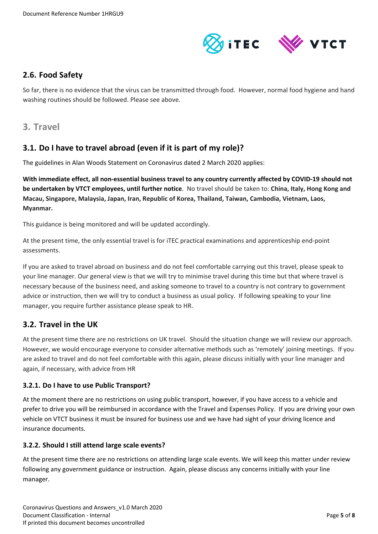

### <span id="page-4-0"></span>**2.6. Food Safety**

So far, there is no evidence that the virus can be transmitted through food. However, normal food hygiene and hand washing routines should be followed. Please see above.

<span id="page-4-1"></span>**3. Travel**

## <span id="page-4-2"></span>**3.1. Do I have to travel abroad (even if it is part of my role)?**

The guidelines in Alan Woods Statement on Coronavirus dated 2 March 2020 applies:

**With immediate effect, all non-essential business travel to any country currently affected by COVID-19 should not be undertaken by VTCT employees, until further notice**. No travel should be taken to: **China, Italy, Hong Kong and Macau, Singapore, Malaysia, Japan, Iran, Republic of Korea, Thailand, Taiwan, Cambodia, Vietnam, Laos, Myanmar.** 

This guidance is being monitored and will be updated accordingly.

At the present time, the only essential travel is for iTEC practical examinations and apprenticeship end-point assessments.

If you are asked to travel abroad on business and do not feel comfortable carrying out this travel, please speak to your line manager. Our general view is that we will try to minimise travel during this time but that where travel is necessary because of the business need, and asking someone to travel to a country is not contrary to government advice or instruction, then we will try to conduct a business as usual policy. If following speaking to your line manager, you require further assistance please speak to HR.

# <span id="page-4-3"></span>**3.2. Travel in the UK**

At the present time there are no restrictions on UK travel. Should the situation change we will review our approach. However, we would encourage everyone to consider alternative methods such as 'remotely' joining meetings. If you are asked to travel and do not feel comfortable with this again, please discuss initially with your line manager and again, if necessary, with advice from HR

#### <span id="page-4-4"></span>**3.2.1. Do I have to use Public Transport?**

At the moment there are no restrictions on using public transport, however, if you have access to a vehicle and prefer to drive you will be reimbursed in accordance with the Travel and Expenses Policy. If you are driving your own vehicle on VTCT business it must be insured for business use and we have had sight of your driving licence and insurance documents.

#### <span id="page-4-5"></span>**3.2.2. Should I still attend large scale events?**

At the present time there are no restrictions on attending large scale events. We will keep this matter under review following any government guidance or instruction. Again, please discuss any concerns initially with your line manager.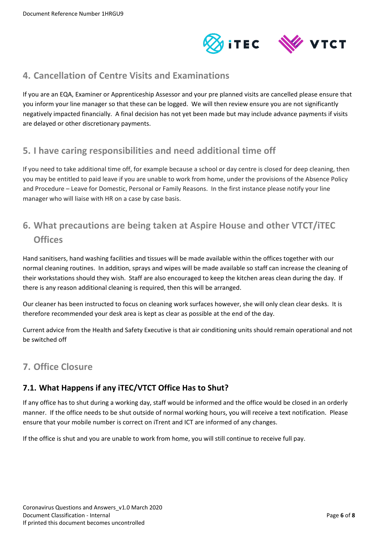

# <span id="page-5-0"></span>**4. Cancellation of Centre Visits and Examinations**

If you are an EQA, Examiner or Apprenticeship Assessor and your pre planned visits are cancelled please ensure that you inform your line manager so that these can be logged. We will then review ensure you are not significantly negatively impacted financially. A final decision has not yet been made but may include advance payments if visits are delayed or other discretionary payments.

# <span id="page-5-1"></span>**5. I have caring responsibilities and need additional time off**

If you need to take additional time off, for example because a school or day centre is closed for deep cleaning, then you may be entitled to paid leave if you are unable to work from home, under the provisions of the Absence Policy and Procedure – Leave for Domestic, Personal or Family Reasons. In the first instance please notify your line manager who will liaise with HR on a case by case basis.

# <span id="page-5-2"></span>**6. What precautions are being taken at Aspire House and other VTCT/iTEC Offices**

Hand sanitisers, hand washing facilities and tissues will be made available within the offices together with our normal cleaning routines. In addition, sprays and wipes will be made available so staff can increase the cleaning of their workstations should they wish. Staff are also encouraged to keep the kitchen areas clean during the day. If there is any reason additional cleaning is required, then this will be arranged.

Our cleaner has been instructed to focus on cleaning work surfaces however, she will only clean clear desks. It is therefore recommended your desk area is kept as clear as possible at the end of the day.

Current advice from the Health and Safety Executive is that air conditioning units should remain operational and not be switched off

# <span id="page-5-3"></span>**7. Office Closure**

# <span id="page-5-4"></span>**7.1. What Happens if any iTEC/VTCT Office Has to Shut?**

If any office has to shut during a working day, staff would be informed and the office would be closed in an orderly manner. If the office needs to be shut outside of normal working hours, you will receive a text notification. Please ensure that your mobile number is correct on iTrent and ICT are informed of any changes.

If the office is shut and you are unable to work from home, you will still continue to receive full pay.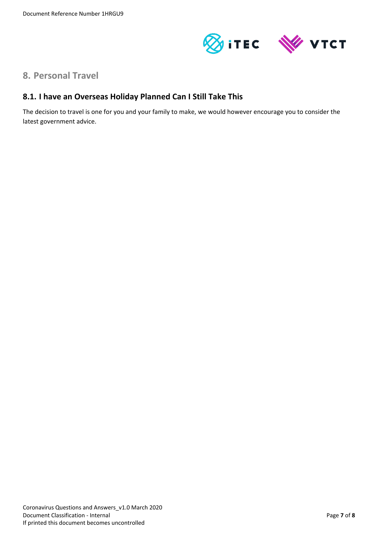

# <span id="page-6-0"></span>**8. Personal Travel**

#### <span id="page-6-1"></span>**8.1. I have an Overseas Holiday Planned Can I Still Take This**

The decision to travel is one for you and your family to make, we would however encourage you to consider the latest government advice.